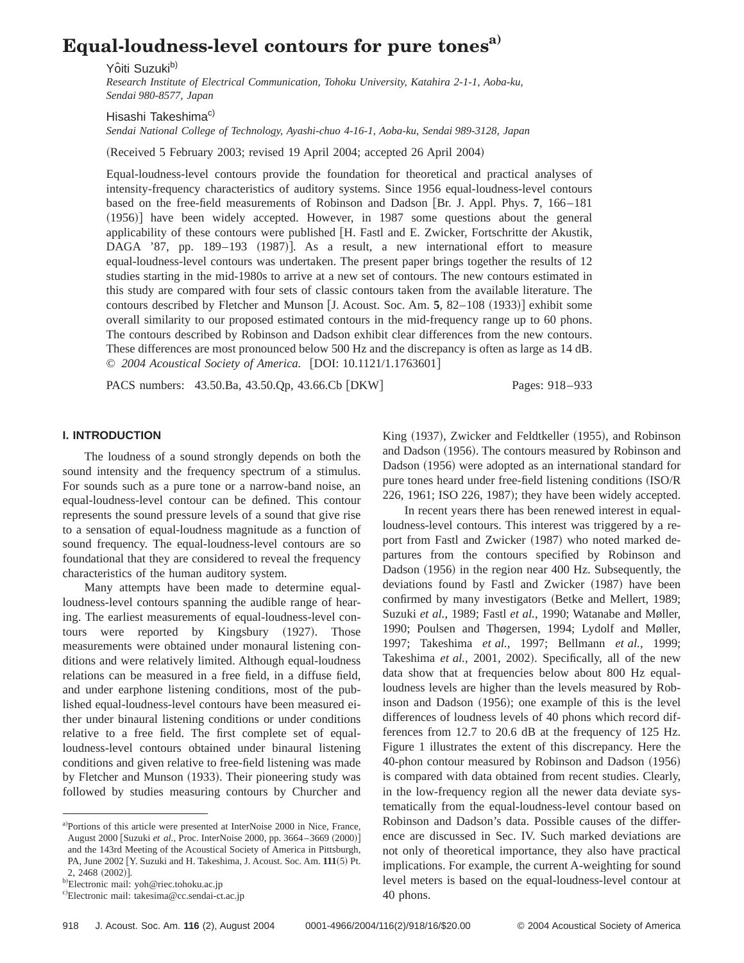# **Equal-loudness-level contours for pure tonesa)**

Yôiti Suzuki<sup>b)</sup>

*Research Institute of Electrical Communication, Tohoku University, Katahira 2-1-1, Aoba-ku, Sendai 980-8577, Japan*

Hisashi Takeshima<sup>c)</sup>

*Sendai National College of Technology, Ayashi-chuo 4-16-1, Aoba-ku, Sendai 989-3128, Japan*

(Received 5 February 2003; revised 19 April 2004; accepted 26 April 2004)

Equal-loudness-level contours provide the foundation for theoretical and practical analyses of intensity-frequency characteristics of auditory systems. Since 1956 equal-loudness-level contours based on the free-field measurements of Robinson and Dadson [Br. J. Appl. Phys. 7, 166–181]  $(1956)$  have been widely accepted. However, in 1987 some questions about the general applicability of these contours were published [H. Fastl and E. Zwicker, Fortschritte der Akustik, DAGA '87, pp. 189–193 (1987)]. As a result, a new international effort to measure equal-loudness-level contours was undertaken. The present paper brings together the results of 12 studies starting in the mid-1980s to arrive at a new set of contours. The new contours estimated in this study are compared with four sets of classic contours taken from the available literature. The contours described by Fletcher and Munson  $[J.$  Acoust. Soc. Am.  $5$ ,  $82-108$   $(1933)$  exhibit some overall similarity to our proposed estimated contours in the mid-frequency range up to 60 phons. The contours described by Robinson and Dadson exhibit clear differences from the new contours. These differences are most pronounced below 500 Hz and the discrepancy is often as large as 14 dB. © 2004 Acoustical Society of America. [DOI: 10.1121/1.1763601]

PACS numbers: 43.50.Ba, 43.50.Qp, 43.66.Cb [DKW] Pages: 918–933

King (1937), Zwicker and Feldtkeller (1955), and Robinson and Dadson (1956). The contours measured by Robinson and Dadson (1956) were adopted as an international standard for pure tones heard under free-field listening conditions (ISO/R) 226, 1961; ISO 226, 1987); they have been widely accepted. In recent years there has been renewed interest in equalloudness-level contours. This interest was triggered by a report from Fastl and Zwicker (1987) who noted marked departures from the contours specified by Robinson and Dadson (1956) in the region near 400 Hz. Subsequently, the deviations found by Fastl and Zwicker (1987) have been confirmed by many investigators (Betke and Mellert, 1989; Suzuki *et al.*, 1989; Fastl *et al.*, 1990; Watanabe and Møller, 1990; Poulsen and Thøgersen, 1994; Lydolf and Møller, 1997; Takeshima *et al.*, 1997; Bellmann *et al.*, 1999;

### **I. INTRODUCTION**

The loudness of a sound strongly depends on both the sound intensity and the frequency spectrum of a stimulus. For sounds such as a pure tone or a narrow-band noise, an equal-loudness-level contour can be defined. This contour represents the sound pressure levels of a sound that give rise to a sensation of equal-loudness magnitude as a function of sound frequency. The equal-loudness-level contours are so foundational that they are considered to reveal the frequency characteristics of the human auditory system.

Many attempts have been made to determine equalloudness-level contours spanning the audible range of hearing. The earliest measurements of equal-loudness-level contours were reported by Kingsbury (1927). Those measurements were obtained under monaural listening conditions and were relatively limited. Although equal-loudness relations can be measured in a free field, in a diffuse field, and under earphone listening conditions, most of the published equal-loudness-level contours have been measured either under binaural listening conditions or under conditions relative to a free field. The first complete set of equalloudness-level contours obtained under binaural listening conditions and given relative to free-field listening was made by Fletcher and Munson (1933). Their pioneering study was followed by studies measuring contours by Churcher and

Takeshima *et al.*, 2001, 2002). Specifically, all of the new data show that at frequencies below about 800 Hz equalloudness levels are higher than the levels measured by Robinson and Dadson  $(1956)$ ; one example of this is the level

differences of loudness levels of 40 phons which record differences from 12.7 to 20.6 dB at the frequency of 125 Hz. Figure 1 illustrates the extent of this discrepancy. Here the 40-phon contour measured by Robinson and Dadson (1956) is compared with data obtained from recent studies. Clearly, in the low-frequency region all the newer data deviate systematically from the equal-loudness-level contour based on Robinson and Dadson's data. Possible causes of the difference are discussed in Sec. IV. Such marked deviations are not only of theoretical importance, they also have practical implications. For example, the current A-weighting for sound level meters is based on the equal-loudness-level contour at 40 phons.

a)Portions of this article were presented at InterNoise 2000 in Nice, France, August 2000 [Suzuki et al., Proc. InterNoise 2000, pp. 3664-3669 (2000)] and the 143rd Meeting of the Acoustical Society of America in Pittsburgh, PA, June 2002 [Y. Suzuki and H. Takeshima, J. Acoust. Soc. Am.  $111(5)$  Pt.  $2, 2468 (2002)$ ].

<sup>&</sup>lt;sup>b)</sup>Electronic mail: yoh@riec.tohoku.ac.jp

c)Electronic mail: takesima@cc.sendai-ct.ac.jp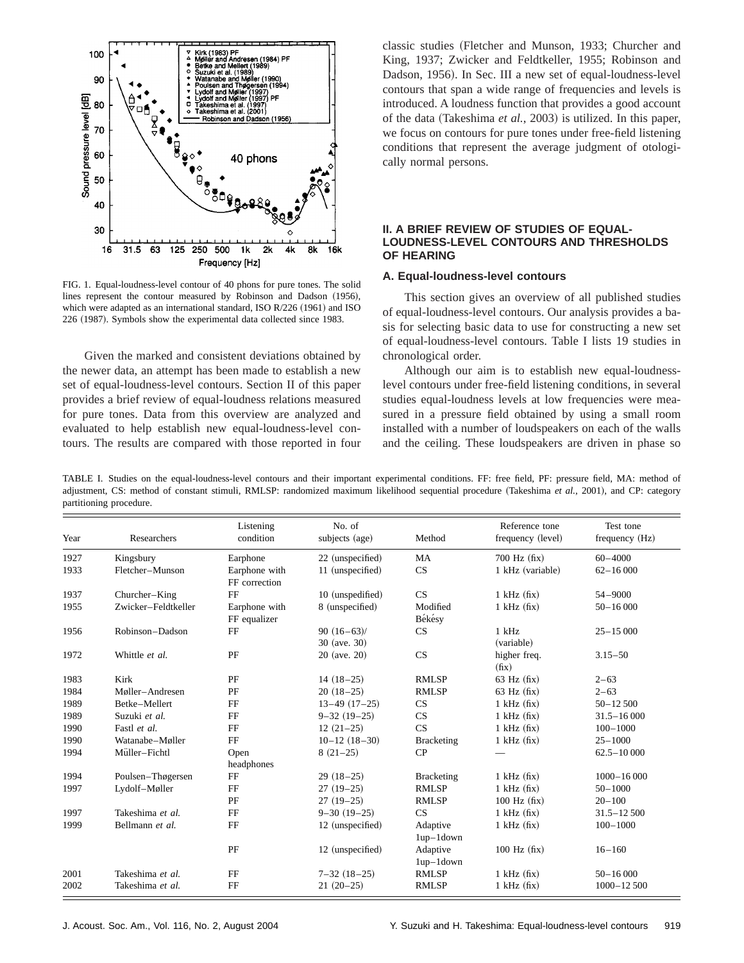

FIG. 1. Equal-loudness-level contour of 40 phons for pure tones. The solid lines represent the contour measured by Robinson and Dadson (1956), which were adapted as an international standard, ISO R/226 (1961) and ISO 226 (1987). Symbols show the experimental data collected since 1983.

Given the marked and consistent deviations obtained by the newer data, an attempt has been made to establish a new set of equal-loudness-level contours. Section II of this paper provides a brief review of equal-loudness relations measured for pure tones. Data from this overview are analyzed and evaluated to help establish new equal-loudness-level contours. The results are compared with those reported in four classic studies (Fletcher and Munson, 1933; Churcher and King, 1937; Zwicker and Feldtkeller, 1955; Robinson and Dadson, 1956). In Sec. III a new set of equal-loudness-level contours that span a wide range of frequencies and levels is introduced. A loudness function that provides a good account of the data (Takeshima *et al.*, 2003) is utilized. In this paper, we focus on contours for pure tones under free-field listening conditions that represent the average judgment of otologically normal persons.

## **II. A BRIEF REVIEW OF STUDIES OF EQUAL-LOUDNESS-LEVEL CONTOURS AND THRESHOLDS OF HEARING**

#### **A. Equal-loudness-level contours**

This section gives an overview of all published studies of equal-loudness-level contours. Our analysis provides a basis for selecting basic data to use for constructing a new set of equal-loudness-level contours. Table I lists 19 studies in chronological order.

Although our aim is to establish new equal-loudnesslevel contours under free-field listening conditions, in several studies equal-loudness levels at low frequencies were measured in a pressure field obtained by using a small room installed with a number of loudspeakers on each of the walls and the ceiling. These loudspeakers are driven in phase so

TABLE I. Studies on the equal-loudness-level contours and their important experimental conditions. FF: free field, PF: pressure field, MA: method of adjustment, CS: method of constant stimuli, RMLSP: randomized maximum likelihood sequential procedure (Takeshima *et al.*, 2001), and CP: category partitioning procedure.

| Year | Researchers         | Listening<br>condition         | No. of<br>subjects (age)    | Method                  | Reference tone<br>frequency (level) | Test tone<br>frequency (Hz) |  |
|------|---------------------|--------------------------------|-----------------------------|-------------------------|-------------------------------------|-----------------------------|--|
| 1927 | Kingsbury           | Earphone                       | 22 (unspecified)            | MA                      | $700$ Hz $(fix)$                    | $60 - 4000$                 |  |
| 1933 | Fletcher-Munson     | Earphone with<br>FF correction | 11 (unspecified)            | CS                      | 1 kHz (variable)                    | $62 - 16000$                |  |
| 1937 | Churcher–King       | FF                             | 10 (unspedified)            | CS                      | $1$ kHz $(fix)$                     | $54 - 9000$                 |  |
| 1955 | Zwicker-Feldtkeller | Earphone with<br>FF equalizer  | 8 (unspecified)             | Modified<br>Békésy      | $1$ kHz $(fix)$                     | $50 - 16000$                |  |
| 1956 | Robinson-Dadson     | FF                             | $90(16-63)$<br>30 (ave. 30) | <b>CS</b>               | $1$ kHz<br>(variable)               | $25 - 15000$                |  |
| 1972 | Whittle et al.      | PF                             | 20 (ave. 20)                | CS                      | higher freq.<br>(fix)               | $3.15 - 50$                 |  |
| 1983 | Kirk                | PF                             | $14(18-25)$                 | <b>RMLSP</b>            | $63$ Hz $(fix)$                     | $2 - 63$                    |  |
| 1984 | Møller-Andresen     | PF                             | $20(18-25)$                 | <b>RMLSP</b>            | $63$ Hz $(fix)$                     | $2 - 63$                    |  |
| 1989 | Betke-Mellert       | FF                             | $13-49$ $(17-25)$           | CS                      | $1$ kHz $(fix)$                     | $50 - 12500$                |  |
| 1989 | Suzuki et al.       | FF                             | $9 - 32(19 - 25)$           | CS                      | $1$ kHz $(fix)$                     | $31.5 - 16000$              |  |
| 1990 | Fastl et al.        | FF                             | $12(21-25)$                 | CS                      | $1$ kHz $(fix)$                     | $100 - 1000$                |  |
| 1990 | Watanabe-Møller     | FF                             | $10-12(18-30)$              | <b>Bracketing</b>       | $1$ kHz $(fix)$                     | $25 - 1000$                 |  |
| 1994 | Müller-Fichtl       | Open<br>headphones             | $8(21-25)$                  | CP                      |                                     | $62.5 - 10000$              |  |
| 1994 | Poulsen-Thøgersen   | FF                             | $29(18-25)$                 | <b>Bracketing</b>       | $1$ kHz $(fix)$                     | $1000 - 16000$              |  |
| 1997 | Lydolf-Møller       | FF                             | $27(19-25)$                 | <b>RMLSP</b>            | $1$ kHz $(fix)$                     | $50 - 1000$                 |  |
|      |                     | PF                             | $27(19-25)$                 | <b>RMLSP</b>            | $100$ Hz $(fix)$                    | $20 - 100$                  |  |
| 1997 | Takeshima et al.    | FF                             | $9 - 30(19 - 25)$           | CS                      | $1$ kHz $(fix)$                     | $31.5 - 12500$              |  |
| 1999 | Bellmann et al.     | FF                             | 12 (unspecified)            | Adaptive<br>$1up-1down$ | $1$ kHz $(fix)$                     | $100 - 1000$                |  |
|      |                     | PF                             | 12 (unspecified)            | Adaptive<br>$1up-1down$ | $100$ Hz $(fix)$                    | $16 - 160$                  |  |
| 2001 | Takeshima et al.    | FF                             | $7 - 32(18 - 25)$           | <b>RMLSP</b>            | $1$ kHz $(fix)$                     | $50 - 16000$                |  |
| 2002 | Takeshima et al.    | FF                             | $21(20-25)$                 | <b>RMLSP</b>            | $1$ kHz $(fix)$                     | $1000 - 12500$              |  |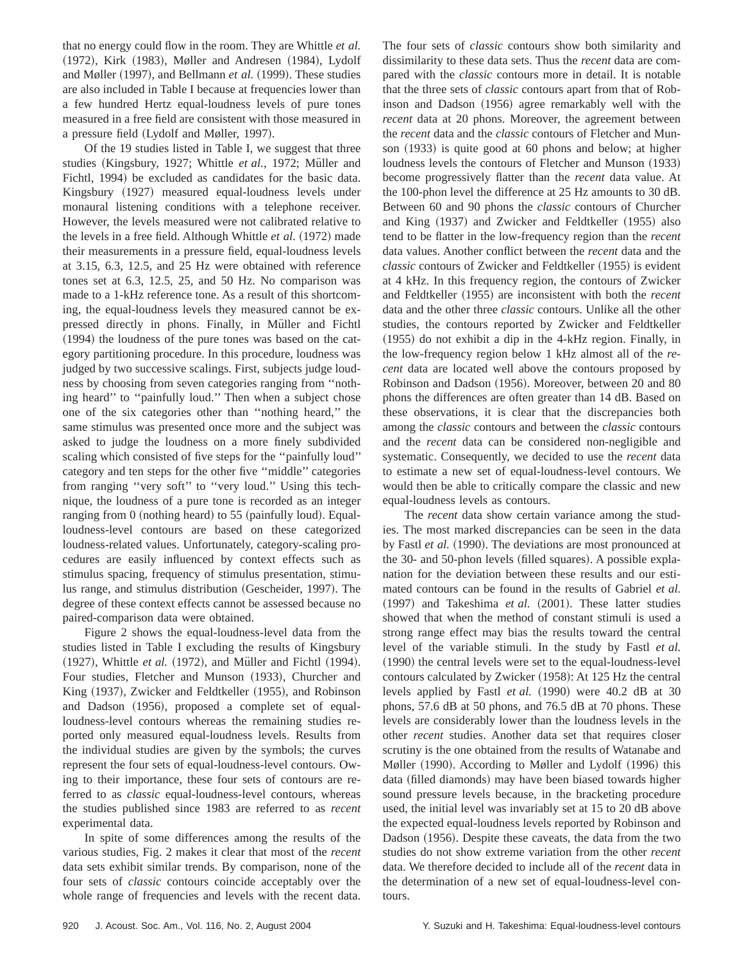that no energy could flow in the room. They are Whittle *et al.* (1972), Kirk (1983), Møller and Andresen (1984), Lydolf and Møller (1997), and Bellmann *et al.* (1999). These studies are also included in Table I because at frequencies lower than a few hundred Hertz equal-loudness levels of pure tones measured in a free field are consistent with those measured in a pressure field (Lydolf and Møller, 1997).

Of the 19 studies listed in Table I, we suggest that three studies (Kingsbury, 1927; Whittle *et al.*, 1972; Müller and Fichtl, 1994) be excluded as candidates for the basic data. Kingsbury (1927) measured equal-loudness levels under monaural listening conditions with a telephone receiver. However, the levels measured were not calibrated relative to the levels in a free field. Although Whittle *et al.* (1972) made their measurements in a pressure field, equal-loudness levels at 3.15, 6.3, 12.5, and 25 Hz were obtained with reference tones set at 6.3, 12.5, 25, and 50 Hz. No comparison was made to a 1-kHz reference tone. As a result of this shortcoming, the equal-loudness levels they measured cannot be expressed directly in phons. Finally, in Müller and Fichtl  $(1994)$  the loudness of the pure tones was based on the category partitioning procedure. In this procedure, loudness was judged by two successive scalings. First, subjects judge loudness by choosing from seven categories ranging from ''nothing heard'' to ''painfully loud.'' Then when a subject chose one of the six categories other than ''nothing heard,'' the same stimulus was presented once more and the subject was asked to judge the loudness on a more finely subdivided scaling which consisted of five steps for the ''painfully loud'' category and ten steps for the other five ''middle'' categories from ranging "very soft" to "very loud." Using this technique, the loudness of a pure tone is recorded as an integer ranging from  $0$  (nothing heard) to 55 (painfully loud). Equalloudness-level contours are based on these categorized loudness-related values. Unfortunately, category-scaling procedures are easily influenced by context effects such as stimulus spacing, frequency of stimulus presentation, stimulus range, and stimulus distribution (Gescheider, 1997). The degree of these context effects cannot be assessed because no paired-comparison data were obtained.

Figure 2 shows the equal-loudness-level data from the studies listed in Table I excluding the results of Kingsbury (1927), Whittle *et al.* (1972), and Müller and Fichtl (1994). Four studies, Fletcher and Munson (1933), Churcher and King (1937), Zwicker and Feldtkeller (1955), and Robinson and Dadson (1956), proposed a complete set of equalloudness-level contours whereas the remaining studies reported only measured equal-loudness levels. Results from the individual studies are given by the symbols; the curves represent the four sets of equal-loudness-level contours. Owing to their importance, these four sets of contours are referred to as *classic* equal-loudness-level contours, whereas the studies published since 1983 are referred to as *recent* experimental data.

In spite of some differences among the results of the various studies, Fig. 2 makes it clear that most of the *recent* data sets exhibit similar trends. By comparison, none of the four sets of *classic* contours coincide acceptably over the whole range of frequencies and levels with the recent data. The four sets of *classic* contours show both similarity and dissimilarity to these data sets. Thus the *recent* data are compared with the *classic* contours more in detail. It is notable that the three sets of *classic* contours apart from that of Robinson and Dadson (1956) agree remarkably well with the *recent* data at 20 phons. Moreover, the agreement between the *recent* data and the *classic* contours of Fletcher and Munson  $(1933)$  is quite good at 60 phons and below; at higher loudness levels the contours of Fletcher and Munson  $(1933)$ become progressively flatter than the *recent* data value. At the 100-phon level the difference at 25 Hz amounts to 30 dB. Between 60 and 90 phons the *classic* contours of Churcher and King  $(1937)$  and Zwicker and Feldtkeller  $(1955)$  also tend to be flatter in the low-frequency region than the *recent* data values. Another conflict between the *recent* data and the *classic* contours of Zwicker and Feldtkeller (1955) is evident at 4 kHz. In this frequency region, the contours of Zwicker and Feldtkeller (1955) are inconsistent with both the *recent* data and the other three *classic* contours. Unlike all the other studies, the contours reported by Zwicker and Feldtkeller  $(1955)$  do not exhibit a dip in the 4-kHz region. Finally, in the low-frequency region below 1 kHz almost all of the *recent* data are located well above the contours proposed by Robinson and Dadson (1956). Moreover, between 20 and 80 phons the differences are often greater than 14 dB. Based on these observations, it is clear that the discrepancies both among the *classic* contours and between the *classic* contours and the *recent* data can be considered non-negligible and systematic. Consequently, we decided to use the *recent* data to estimate a new set of equal-loudness-level contours. We would then be able to critically compare the classic and new equal-loudness levels as contours.

The *recent* data show certain variance among the studies. The most marked discrepancies can be seen in the data by Fastl *et al.* (1990). The deviations are most pronounced at the 30- and 50-phon levels (filled squares). A possible explanation for the deviation between these results and our estimated contours can be found in the results of Gabriel *et al.* (1997) and Takeshima *et al.* (2001). These latter studies showed that when the method of constant stimuli is used a strong range effect may bias the results toward the central level of the variable stimuli. In the study by Fastl *et al.*  $(1990)$  the central levels were set to the equal-loudness-level contours calculated by Zwicker (1958): At 125 Hz the central levels applied by Fastl et al. (1990) were 40.2 dB at 30 phons, 57.6 dB at 50 phons, and 76.5 dB at 70 phons. These levels are considerably lower than the loudness levels in the other *recent* studies. Another data set that requires closer scrutiny is the one obtained from the results of Watanabe and Møller (1990). According to Møller and Lydolf (1996) this data (filled diamonds) may have been biased towards higher sound pressure levels because, in the bracketing procedure used, the initial level was invariably set at 15 to 20 dB above the expected equal-loudness levels reported by Robinson and Dadson (1956). Despite these caveats, the data from the two studies do not show extreme variation from the other *recent* data. We therefore decided to include all of the *recent* data in the determination of a new set of equal-loudness-level contours.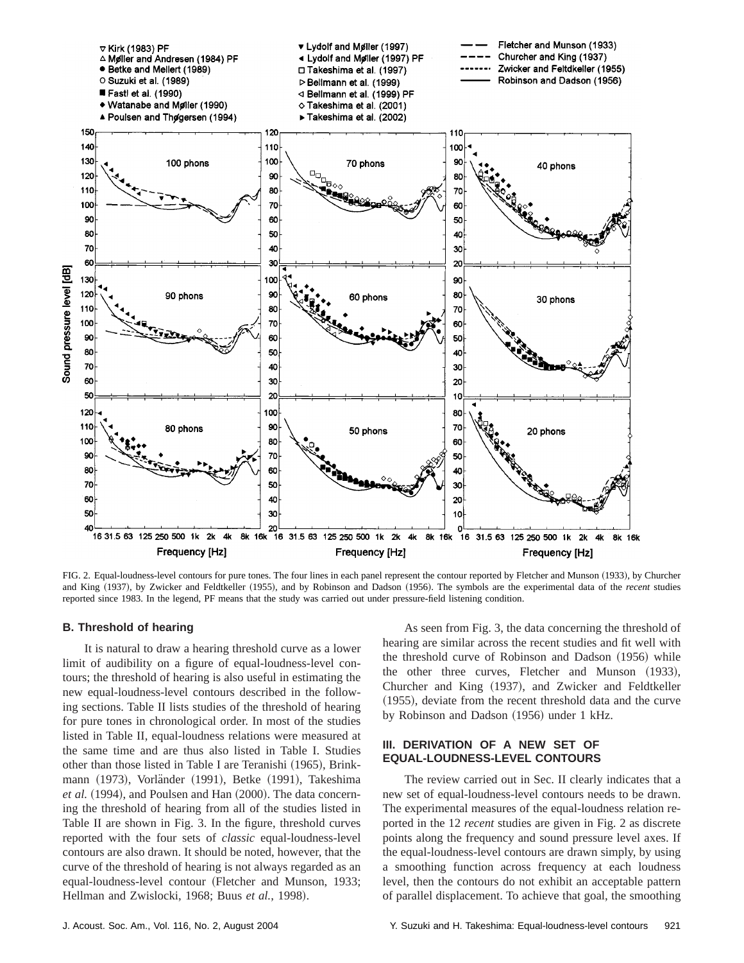

FIG. 2. Equal-loudness-level contours for pure tones. The four lines in each panel represent the contour reported by Fletcher and Munson (1933), by Churcher and King (1937), by Zwicker and Feldtkeller (1955), and by Robinson and Dadson (1956). The symbols are the experimental data of the *recent* studies reported since 1983. In the legend, PF means that the study was carried out under pressure-field listening condition.

## **B. Threshold of hearing**

It is natural to draw a hearing threshold curve as a lower limit of audibility on a figure of equal-loudness-level contours; the threshold of hearing is also useful in estimating the new equal-loudness-level contours described in the following sections. Table II lists studies of the threshold of hearing for pure tones in chronological order. In most of the studies listed in Table II, equal-loudness relations were measured at the same time and are thus also listed in Table I. Studies other than those listed in Table I are Teranishi (1965), Brinkmann (1973), Vorländer (1991), Betke (1991), Takeshima *et al.* (1994), and Poulsen and Han (2000). The data concerning the threshold of hearing from all of the studies listed in Table II are shown in Fig. 3. In the figure, threshold curves reported with the four sets of *classic* equal-loudness-level contours are also drawn. It should be noted, however, that the curve of the threshold of hearing is not always regarded as an equal-loudness-level contour (Fletcher and Munson, 1933; Hellman and Zwislocki, 1968; Buus et al., 1998).

As seen from Fig. 3, the data concerning the threshold of hearing are similar across the recent studies and fit well with the threshold curve of Robinson and Dadson  $(1956)$  while the other three curves, Fletcher and Munson (1933), Churcher and King (1937), and Zwicker and Feldtkeller  $(1955)$ , deviate from the recent threshold data and the curve by Robinson and Dadson (1956) under 1 kHz.

## **III. DERIVATION OF A NEW SET OF EQUAL-LOUDNESS-LEVEL CONTOURS**

The review carried out in Sec. II clearly indicates that a new set of equal-loudness-level contours needs to be drawn. The experimental measures of the equal-loudness relation reported in the 12 *recent* studies are given in Fig. 2 as discrete points along the frequency and sound pressure level axes. If the equal-loudness-level contours are drawn simply, by using a smoothing function across frequency at each loudness level, then the contours do not exhibit an acceptable pattern of parallel displacement. To achieve that goal, the smoothing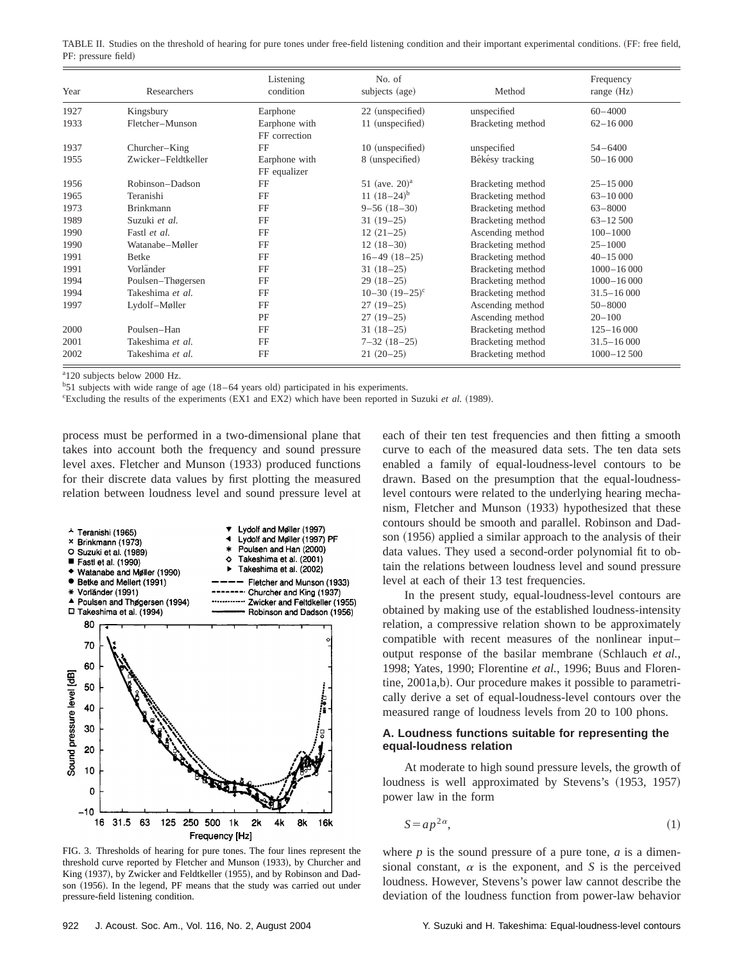|                     |  | TABLE II. Studies on the threshold of hearing for pure tones under free-field listening condition and their important experimental conditions. (FF: free field, |  |  |  |  |  |  |
|---------------------|--|-----------------------------------------------------------------------------------------------------------------------------------------------------------------|--|--|--|--|--|--|
| PF: pressure field) |  |                                                                                                                                                                 |  |  |  |  |  |  |

| Year | Researchers         | Listening<br>condition         | No. of<br>subjects (age) | Method            | Frequency<br>range $(Hz)$ |
|------|---------------------|--------------------------------|--------------------------|-------------------|---------------------------|
| 1927 | Kingsbury           | Earphone                       | 22 (unspecified)         | unspecified       | $60 - 4000$               |
| 1933 | Fletcher-Munson     | Earphone with<br>FF correction | 11 (unspecified)         | Bracketing method | $62 - 16000$              |
| 1937 | Churcher–King       | FF                             | 10 (unspecified)         | unspecified       | $54 - 6400$               |
| 1955 | Zwicker-Feldtkeller | Earphone with<br>FF equalizer  | 8 (unspecified)          | Békésy tracking   | $50 - 16000$              |
| 1956 | Robinson-Dadson     | FF                             | 51 (ave. $20)^a$ )       | Bracketing method | $25 - 15000$              |
| 1965 | Teranishi           | FF                             | 11 $(18-24)^b$           | Bracketing method |                           |
| 1973 | <b>Brinkmann</b>    | FF                             | $9 - 56(18 - 30)$        | Bracketing method | $63 - 8000$               |
| 1989 | Suzuki et al.       | FF                             | $31(19-25)$              | Bracketing method | $63 - 12500$              |
| 1990 | Fastl et al.        | FF                             | $12(21-25)$              | Ascending method  | $100 - 1000$              |
| 1990 | Watanabe-Møller     | FF                             | $12(18-30)$              | Bracketing method | $25 - 1000$               |
| 1991 | <b>Betke</b>        | FF                             | $16-49$ $(18-25)$        | Bracketing method | $40 - 15000$              |
| 1991 | Vorländer           | FF                             | $31(18-25)$              | Bracketing method | $1000 - 16000$            |
| 1994 | Poulsen-Thøgersen   | FF                             | $29(18-25)$              | Bracketing method | $1000 - 16000$            |
| 1994 | Takeshima et al.    | FF                             | $10-30$ $(19-25)^{c}$    | Bracketing method | $31.5 - 16000$            |
| 1997 | Lydolf-Møller       | FF                             | $27(19-25)$              | Ascending method  | $50 - 8000$               |
|      |                     | PF                             | $27(19-25)$              | Ascending method  | $20 - 100$                |
| 2000 | Poulsen-Han         | FF                             | $31(18-25)$              | Bracketing method | $125 - 16000$             |
| 2001 | Takeshima et al.    | FF                             | $7 - 32(18 - 25)$        | Bracketing method | $31.5 - 16000$            |
| 2002 | Takeshima et al.    | FF                             | $21(20-25)$              | Bracketing method | $1000 - 12500$            |

a 120 subjects below 2000 Hz.

 $b$ 51 subjects with wide range of age (18–64 years old) participated in his experiments.

Excluding the results of the experiments (EX1 and EX2) which have been reported in Suzuki *et al.* (1989).

process must be performed in a two-dimensional plane that takes into account both the frequency and sound pressure level axes. Fletcher and Munson  $(1933)$  produced functions for their discrete data values by first plotting the measured relation between loudness level and sound pressure level at



FIG. 3. Thresholds of hearing for pure tones. The four lines represent the threshold curve reported by Fletcher and Munson (1933), by Churcher and King (1937), by Zwicker and Feldtkeller (1955), and by Robinson and Dadson (1956). In the legend, PF means that the study was carried out under pressure-field listening condition.

each of their ten test frequencies and then fitting a smooth curve to each of the measured data sets. The ten data sets enabled a family of equal-loudness-level contours to be drawn. Based on the presumption that the equal-loudnesslevel contours were related to the underlying hearing mechanism, Fletcher and Munson (1933) hypothesized that these contours should be smooth and parallel. Robinson and Dadson (1956) applied a similar approach to the analysis of their data values. They used a second-order polynomial fit to obtain the relations between loudness level and sound pressure level at each of their 13 test frequencies.

In the present study, equal-loudness-level contours are obtained by making use of the established loudness-intensity relation, a compressive relation shown to be approximately compatible with recent measures of the nonlinear input– output response of the basilar membrane (Schlauch *et al.*, 1998; Yates, 1990; Florentine *et al.*, 1996; Buus and Florentine, 2001a,b). Our procedure makes it possible to parametrically derive a set of equal-loudness-level contours over the measured range of loudness levels from 20 to 100 phons.

# **A. Loudness functions suitable for representing the equal-loudness relation**

At moderate to high sound pressure levels, the growth of loudness is well approximated by Stevens's (1953, 1957) power law in the form

$$
S = ap^{2\alpha},\tag{1}
$$

where *p* is the sound pressure of a pure tone, *a* is a dimensional constant,  $\alpha$  is the exponent, and *S* is the perceived loudness. However, Stevens's power law cannot describe the deviation of the loudness function from power-law behavior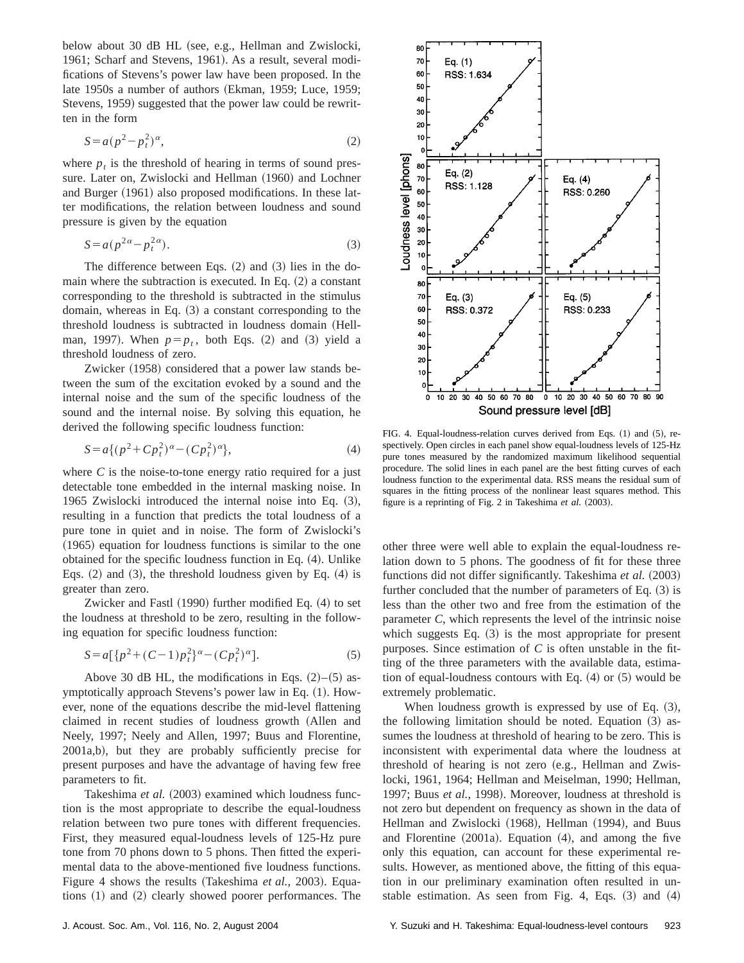below about 30 dB HL (see, e.g., Hellman and Zwislocki, 1961; Scharf and Stevens, 1961). As a result, several modifications of Stevens's power law have been proposed. In the late 1950s a number of authors (Ekman, 1959; Luce, 1959; Stevens, 1959) suggested that the power law could be rewritten in the form

$$
S = a(p^2 - p_t^2)^{\alpha},\tag{2}
$$

where  $p_t$  is the threshold of hearing in terms of sound pressure. Later on, Zwislocki and Hellman (1960) and Lochner and Burger  $(1961)$  also proposed modifications. In these latter modifications, the relation between loudness and sound pressure is given by the equation

$$
S = a(p^{2\alpha} - p_t^{2\alpha}).
$$
\n(3)

The difference between Eqs.  $(2)$  and  $(3)$  lies in the domain where the subtraction is executed. In Eq.  $(2)$  a constant corresponding to the threshold is subtracted in the stimulus domain, whereas in Eq.  $(3)$  a constant corresponding to the threshold loudness is subtracted in loudness domain (Hellman, 1997). When  $p=p_t$ , both Eqs. (2) and (3) yield a threshold loudness of zero.

Zwicker (1958) considered that a power law stands between the sum of the excitation evoked by a sound and the internal noise and the sum of the specific loudness of the sound and the internal noise. By solving this equation, he derived the following specific loudness function:

$$
S = a\{(p^2 + Cp_t^2)^{\alpha} - (Cp_t^2)^{\alpha}\},\tag{4}
$$

where *C* is the noise-to-tone energy ratio required for a just detectable tone embedded in the internal masking noise. In 1965 Zwislocki introduced the internal noise into Eq.  $(3)$ , resulting in a function that predicts the total loudness of a pure tone in quiet and in noise. The form of Zwislocki's  $(1965)$  equation for loudness functions is similar to the one obtained for the specific loudness function in Eq.  $(4)$ . Unlike Eqs.  $(2)$  and  $(3)$ , the threshold loudness given by Eq.  $(4)$  is greater than zero.

Zwicker and Fastl  $(1990)$  further modified Eq.  $(4)$  to set the loudness at threshold to be zero, resulting in the following equation for specific loudness function:

$$
S = a[{p2 + (C-1)pt2}\alpha - (Cpt2)\alpha].
$$
 (5)

Above 30 dB HL, the modifications in Eqs.  $(2)$ – $(5)$  asymptotically approach Stevens's power law in Eq.  $(1)$ . However, none of the equations describe the mid-level flattening claimed in recent studies of loudness growth (Allen and Neely, 1997; Neely and Allen, 1997; Buus and Florentine, 2001a,b), but they are probably sufficiently precise for present purposes and have the advantage of having few free parameters to fit.

Takeshima et al. (2003) examined which loudness function is the most appropriate to describe the equal-loudness relation between two pure tones with different frequencies. First, they measured equal-loudness levels of 125-Hz pure tone from 70 phons down to 5 phons. Then fitted the experimental data to the above-mentioned five loudness functions. Figure 4 shows the results (Takeshima *et al.*, 2003). Equations  $(1)$  and  $(2)$  clearly showed poorer performances. The



FIG. 4. Equal-loudness-relation curves derived from Eqs.  $(1)$  and  $(5)$ , respectively. Open circles in each panel show equal-loudness levels of 125-Hz pure tones measured by the randomized maximum likelihood sequential procedure. The solid lines in each panel are the best fitting curves of each loudness function to the experimental data. RSS means the residual sum of squares in the fitting process of the nonlinear least squares method. This figure is a reprinting of Fig. 2 in Takeshima et al. (2003).

other three were well able to explain the equal-loudness relation down to 5 phons. The goodness of fit for these three functions did not differ significantly. Takeshima et al. (2003) further concluded that the number of parameters of Eq.  $(3)$  is less than the other two and free from the estimation of the parameter *C*, which represents the level of the intrinsic noise which suggests Eq.  $(3)$  is the most appropriate for present purposes. Since estimation of *C* is often unstable in the fitting of the three parameters with the available data, estimation of equal-loudness contours with Eq.  $(4)$  or  $(5)$  would be extremely problematic.

When loudness growth is expressed by use of Eq.  $(3)$ , the following limitation should be noted. Equation  $(3)$  assumes the loudness at threshold of hearing to be zero. This is inconsistent with experimental data where the loudness at threshold of hearing is not zero (e.g., Hellman and Zwislocki, 1961, 1964; Hellman and Meiselman, 1990; Hellman, 1997; Buus et al., 1998). Moreover, loudness at threshold is not zero but dependent on frequency as shown in the data of Hellman and Zwislocki (1968), Hellman (1994), and Buus and Florentine  $(2001a)$ . Equation  $(4)$ , and among the five only this equation, can account for these experimental results. However, as mentioned above, the fitting of this equation in our preliminary examination often resulted in unstable estimation. As seen from Fig. 4, Eqs.  $(3)$  and  $(4)$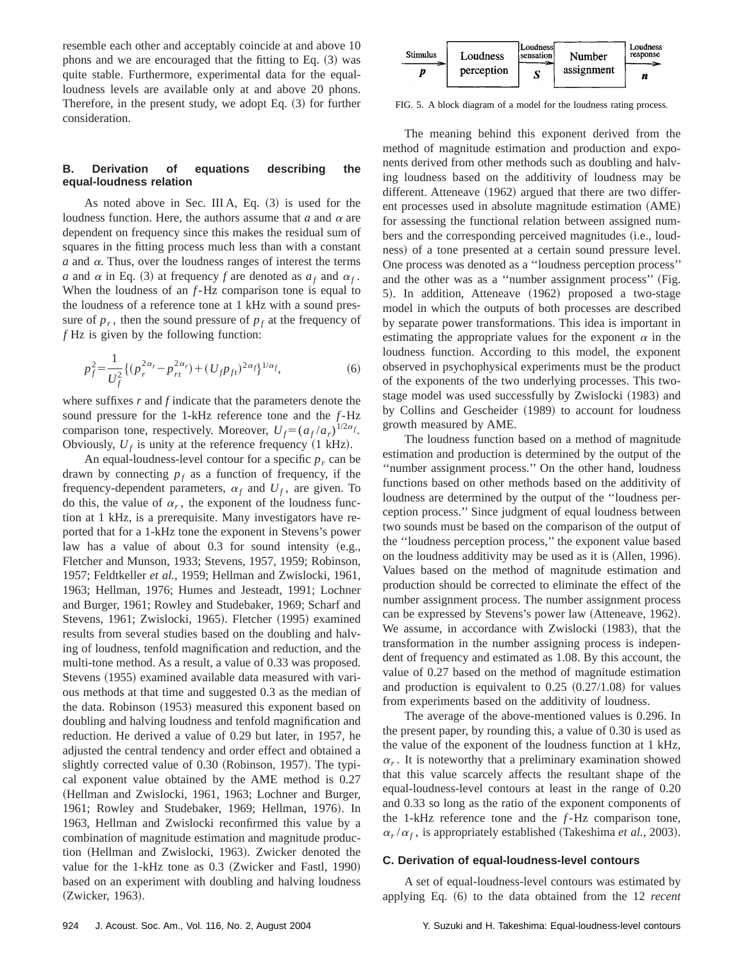resemble each other and acceptably coincide at and above 10 phons and we are encouraged that the fitting to Eq.  $(3)$  was quite stable. Furthermore, experimental data for the equalloudness levels are available only at and above 20 phons. Therefore, in the present study, we adopt Eq.  $(3)$  for further consideration.

# **B. Derivation of equations describing the equal-loudness relation**

As noted above in Sec. III A, Eq.  $(3)$  is used for the loudness function. Here, the authors assume that  $a$  and  $\alpha$  are dependent on frequency since this makes the residual sum of squares in the fitting process much less than with a constant  $a$  and  $\alpha$ . Thus, over the loudness ranges of interest the terms *a* and  $\alpha$  in Eq. (3) at frequency *f* are denoted as  $a_f$  and  $\alpha_f$ . When the loudness of an *f*-Hz comparison tone is equal to the loudness of a reference tone at 1 kHz with a sound pressure of  $p_r$ , then the sound pressure of  $p_f$  at the frequency of *f* Hz is given by the following function:

$$
p_f^2 = \frac{1}{U_f^2} \{ (p_r^{2\alpha_r} - p_{rt}^{2\alpha_r}) + (U_f p_{ft})^{2\alpha_f} \}^{1/\alpha_f},
$$
 (6)

where suffixes *r* and *f* indicate that the parameters denote the sound pressure for the 1-kHz reference tone and the *f*-Hz comparison tone, respectively. Moreover,  $U_f = (a_f / a_r)^{1/2\alpha_f}$ . Obviously,  $U_f$  is unity at the reference frequency  $(1 \text{ kHz})$ .

An equal-loudness-level contour for a specific  $p_r$  can be drawn by connecting  $p_f$  as a function of frequency, if the frequency-dependent parameters,  $\alpha_f$  and  $U_f$ , are given. To do this, the value of  $\alpha_r$ , the exponent of the loudness function at 1 kHz, is a prerequisite. Many investigators have reported that for a 1-kHz tone the exponent in Stevens's power law has a value of about  $0.3$  for sound intensity (e.g., Fletcher and Munson, 1933; Stevens, 1957, 1959; Robinson, 1957; Feldtkeller *et al.*, 1959; Hellman and Zwislocki, 1961, 1963; Hellman, 1976; Humes and Jesteadt, 1991; Lochner and Burger, 1961; Rowley and Studebaker, 1969; Scharf and Stevens, 1961; Zwislocki, 1965). Fletcher (1995) examined results from several studies based on the doubling and halving of loudness, tenfold magnification and reduction, and the multi-tone method. As a result, a value of 0.33 was proposed. Stevens (1955) examined available data measured with various methods at that time and suggested 0.3 as the median of the data. Robinson (1953) measured this exponent based on doubling and halving loudness and tenfold magnification and reduction. He derived a value of 0.29 but later, in 1957, he adjusted the central tendency and order effect and obtained a slightly corrected value of 0.30 (Robinson, 1957). The typical exponent value obtained by the AME method is 0.27 (Hellman and Zwislocki, 1961, 1963; Lochner and Burger, 1961; Rowley and Studebaker, 1969; Hellman, 1976). In 1963, Hellman and Zwislocki reconfirmed this value by a combination of magnitude estimation and magnitude production (Hellman and Zwislocki, 1963). Zwicker denoted the value for the 1-kHz tone as  $0.3$  (Zwicker and Fastl, 1990) based on an experiment with doubling and halving loudness (Zwicker, 1963).



FIG. 5. A block diagram of a model for the loudness rating process.

The meaning behind this exponent derived from the method of magnitude estimation and production and exponents derived from other methods such as doubling and halving loudness based on the additivity of loudness may be different. Atteneave  $(1962)$  argued that there are two different processes used in absolute magnitude estimation (AME) for assessing the functional relation between assigned numbers and the corresponding perceived magnitudes (i.e., loudness) of a tone presented at a certain sound pressure level. One process was denoted as a ''loudness perception process'' and the other was as a "number assignment process" (Fig. 5). In addition, Atteneave (1962) proposed a two-stage model in which the outputs of both processes are described by separate power transformations. This idea is important in estimating the appropriate values for the exponent  $\alpha$  in the loudness function. According to this model, the exponent observed in psychophysical experiments must be the product of the exponents of the two underlying processes. This twostage model was used successfully by Zwislocki (1983) and by Collins and Gescheider (1989) to account for loudness growth measured by AME.

The loudness function based on a method of magnitude estimation and production is determined by the output of the ''number assignment process.'' On the other hand, loudness functions based on other methods based on the additivity of loudness are determined by the output of the ''loudness perception process.'' Since judgment of equal loudness between two sounds must be based on the comparison of the output of the ''loudness perception process,'' the exponent value based on the loudness additivity may be used as it is (Allen, 1996). Values based on the method of magnitude estimation and production should be corrected to eliminate the effect of the number assignment process. The number assignment process can be expressed by Stevens's power law (Atteneave, 1962). We assume, in accordance with Zwislocki (1983), that the transformation in the number assigning process is independent of frequency and estimated as 1.08. By this account, the value of 0.27 based on the method of magnitude estimation and production is equivalent to  $0.25$   $(0.27/1.08)$  for values from experiments based on the additivity of loudness.

The average of the above-mentioned values is 0.296. In the present paper, by rounding this, a value of 0.30 is used as the value of the exponent of the loudness function at 1 kHz,  $\alpha_r$ . It is noteworthy that a preliminary examination showed that this value scarcely affects the resultant shape of the equal-loudness-level contours at least in the range of 0.20 and 0.33 so long as the ratio of the exponent components of the 1-kHz reference tone and the *f*-Hz comparison tone,  $\alpha_r/\alpha_f$ , is appropriately established (Takeshima *et al.*, 2003).

#### **C. Derivation of equal-loudness-level contours**

A set of equal-loudness-level contours was estimated by applying Eq.  $(6)$  to the data obtained from the 12 *recent*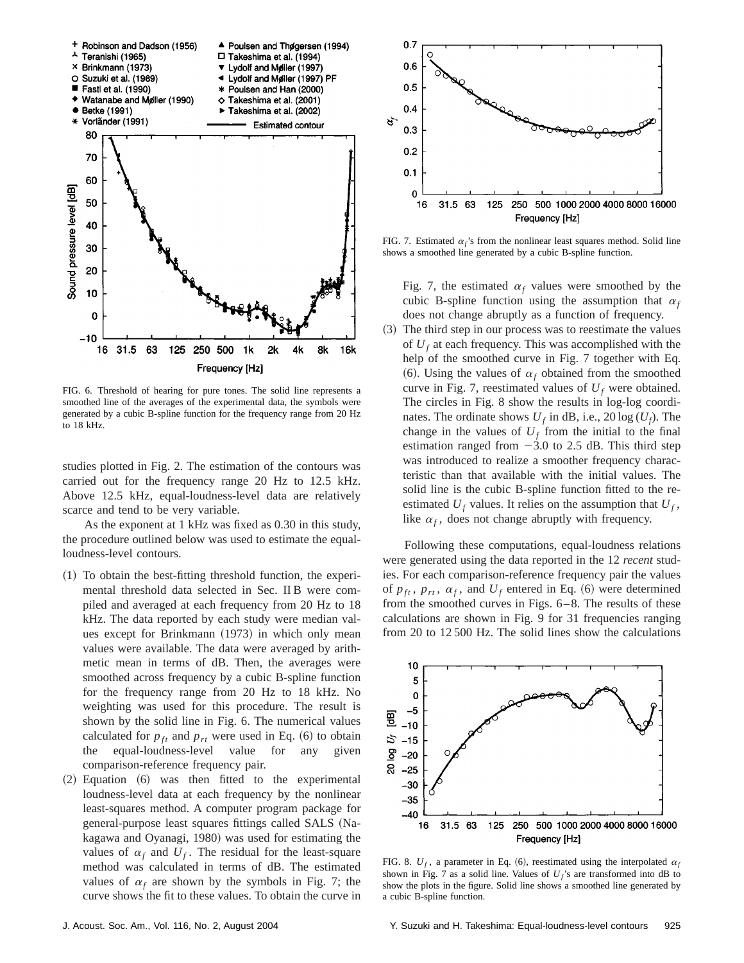

FIG. 6. Threshold of hearing for pure tones. The solid line represents a smoothed line of the averages of the experimental data, the symbols were generated by a cubic B-spline function for the frequency range from 20 Hz to 18 kHz.

studies plotted in Fig. 2. The estimation of the contours was carried out for the frequency range 20 Hz to 12.5 kHz. Above 12.5 kHz, equal-loudness-level data are relatively scarce and tend to be very variable.

As the exponent at 1 kHz was fixed as 0.30 in this study, the procedure outlined below was used to estimate the equalloudness-level contours.

- $(1)$  To obtain the best-fitting threshold function, the experimental threshold data selected in Sec. II B were compiled and averaged at each frequency from 20 Hz to 18 kHz. The data reported by each study were median values except for Brinkmann  $(1973)$  in which only mean values were available. The data were averaged by arithmetic mean in terms of dB. Then, the averages were smoothed across frequency by a cubic B-spline function for the frequency range from 20 Hz to 18 kHz. No weighting was used for this procedure. The result is shown by the solid line in Fig. 6. The numerical values calculated for  $p_{ft}$  and  $p_{rt}$  were used in Eq.  $(6)$  to obtain the equal-loudness-level value for any given comparison-reference frequency pair.
- $(2)$  Equation  $(6)$  was then fitted to the experimental loudness-level data at each frequency by the nonlinear least-squares method. A computer program package for general-purpose least squares fittings called SALS (Nakagawa and Oyanagi, 1980) was used for estimating the values of  $\alpha_f$  and  $U_f$ . The residual for the least-square method was calculated in terms of dB. The estimated values of  $\alpha_f$  are shown by the symbols in Fig. 7; the curve shows the fit to these values. To obtain the curve in



FIG. 7. Estimated  $\alpha_f$ 's from the nonlinear least squares method. Solid line shows a smoothed line generated by a cubic B-spline function.

Fig. 7, the estimated  $\alpha_f$  values were smoothed by the cubic B-spline function using the assumption that  $\alpha_f$ does not change abruptly as a function of frequency.

~3! The third step in our process was to reestimate the values of  $U_f$  at each frequency. This was accomplished with the help of the smoothed curve in Fig. 7 together with Eq. (6). Using the values of  $\alpha_f$  obtained from the smoothed curve in Fig. 7, reestimated values of  $U_f$  were obtained. The circles in Fig. 8 show the results in log-log coordinates. The ordinate shows  $U_f$  in dB, i.e., 20 log  $(U_f)$ . The change in the values of  $U_f$  from the initial to the final estimation ranged from  $-3.0$  to 2.5 dB. This third step was introduced to realize a smoother frequency characteristic than that available with the initial values. The solid line is the cubic B-spline function fitted to the reestimated  $U_f$  values. It relies on the assumption that  $U_f$ , like  $\alpha_f$ , does not change abruptly with frequency.

Following these computations, equal-loudness relations were generated using the data reported in the 12 *recent* studies. For each comparison-reference frequency pair the values of  $p_{ft}$ ,  $p_{rt}$ ,  $\alpha_f$ , and  $U_f$  entered in Eq. (6) were determined from the smoothed curves in Figs. 6–8. The results of these calculations are shown in Fig. 9 for 31 frequencies ranging from 20 to 12 500 Hz. The solid lines show the calculations



FIG. 8.  $U_f$ , a parameter in Eq. (6), reestimated using the interpolated  $\alpha_f$ shown in Fig. 7 as a solid line. Values of  $U_f$ 's are transformed into dB to show the plots in the figure. Solid line shows a smoothed line generated by a cubic B-spline function.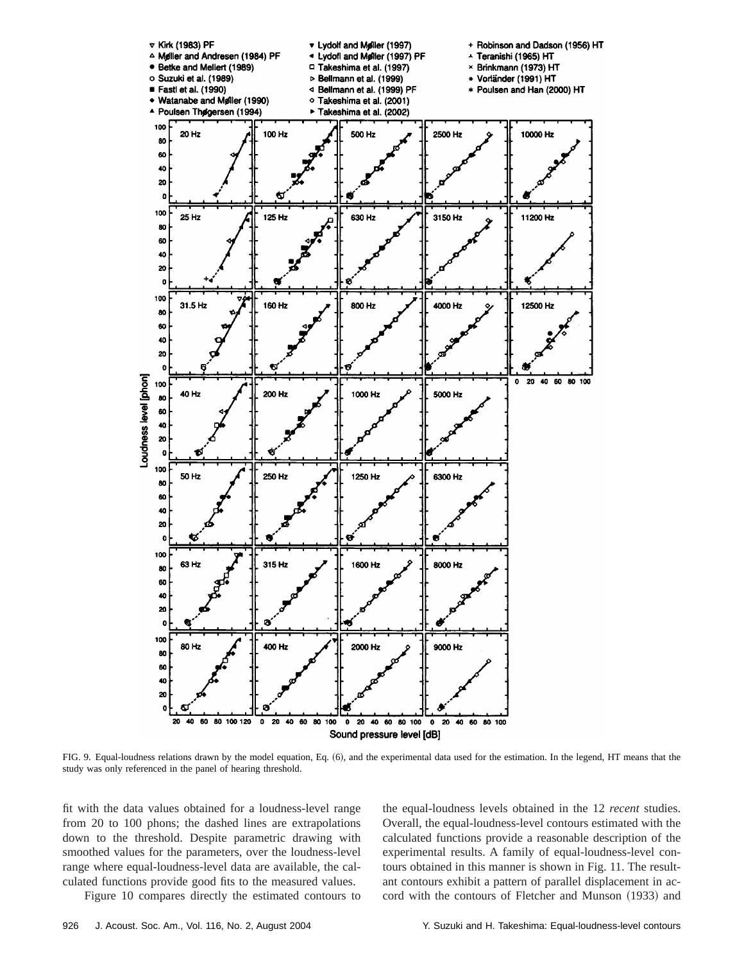

FIG. 9. Equal-loudness relations drawn by the model equation, Eq. (6), and the experimental data used for the estimation. In the legend, HT means that the study was only referenced in the panel of hearing threshold.

fit with the data values obtained for a loudness-level range from 20 to 100 phons; the dashed lines are extrapolations down to the threshold. Despite parametric drawing with smoothed values for the parameters, over the loudness-level range where equal-loudness-level data are available, the calculated functions provide good fits to the measured values.

Figure 10 compares directly the estimated contours to

the equal-loudness levels obtained in the 12 *recent* studies. Overall, the equal-loudness-level contours estimated with the calculated functions provide a reasonable description of the experimental results. A family of equal-loudness-level contours obtained in this manner is shown in Fig. 11. The resultant contours exhibit a pattern of parallel displacement in accord with the contours of Fletcher and Munson (1933) and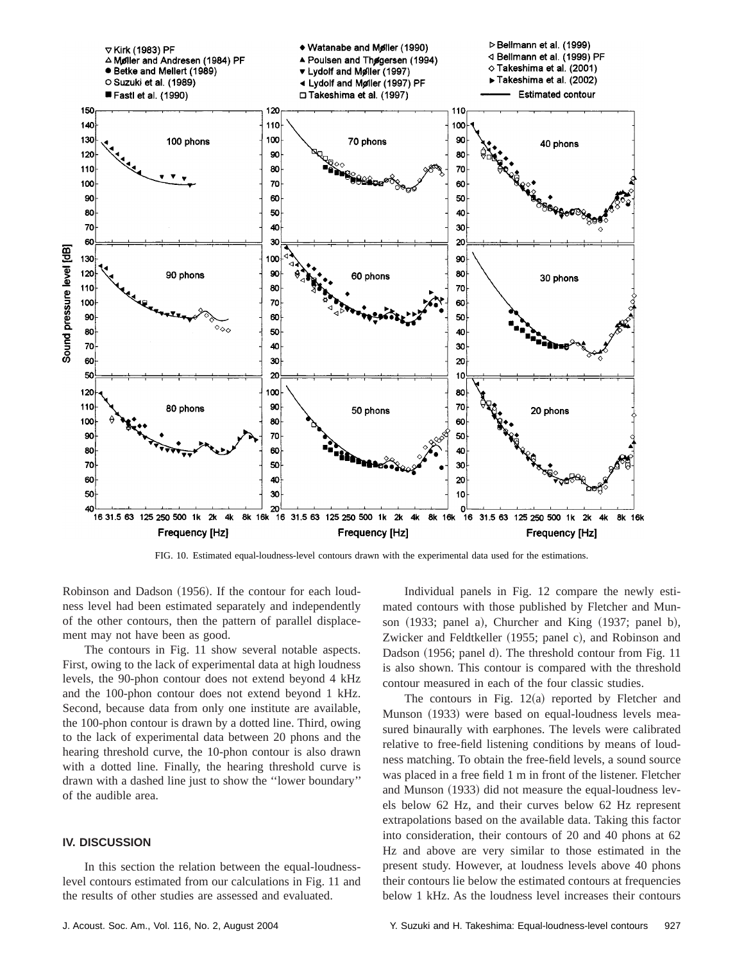

FIG. 10. Estimated equal-loudness-level contours drawn with the experimental data used for the estimations.

Robinson and Dadson (1956). If the contour for each loudness level had been estimated separately and independently of the other contours, then the pattern of parallel displacement may not have been as good.

The contours in Fig. 11 show several notable aspects. First, owing to the lack of experimental data at high loudness levels, the 90-phon contour does not extend beyond 4 kHz and the 100-phon contour does not extend beyond 1 kHz. Second, because data from only one institute are available, the 100-phon contour is drawn by a dotted line. Third, owing to the lack of experimental data between 20 phons and the hearing threshold curve, the 10-phon contour is also drawn with a dotted line. Finally, the hearing threshold curve is drawn with a dashed line just to show the ''lower boundary'' of the audible area.

# **IV. DISCUSSION**

In this section the relation between the equal-loudnesslevel contours estimated from our calculations in Fig. 11 and the results of other studies are assessed and evaluated.

Individual panels in Fig. 12 compare the newly estimated contours with those published by Fletcher and Munson  $(1933;$  panel a), Churcher and King  $(1937;$  panel b), Zwicker and Feldtkeller (1955; panel c), and Robinson and Dadson (1956; panel d). The threshold contour from Fig. 11 is also shown. This contour is compared with the threshold contour measured in each of the four classic studies.

The contours in Fig.  $12(a)$  reported by Fletcher and Munson (1933) were based on equal-loudness levels measured binaurally with earphones. The levels were calibrated relative to free-field listening conditions by means of loudness matching. To obtain the free-field levels, a sound source was placed in a free field 1 m in front of the listener. Fletcher and Munson (1933) did not measure the equal-loudness levels below 62 Hz, and their curves below 62 Hz represent extrapolations based on the available data. Taking this factor into consideration, their contours of 20 and 40 phons at 62 Hz and above are very similar to those estimated in the present study. However, at loudness levels above 40 phons their contours lie below the estimated contours at frequencies below 1 kHz. As the loudness level increases their contours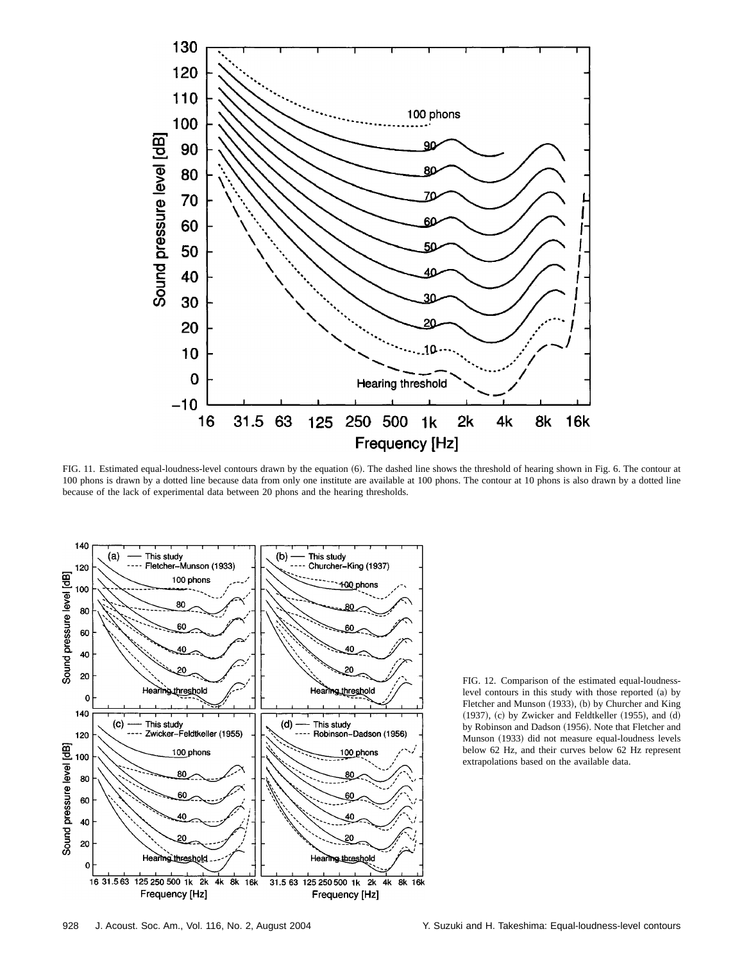

FIG. 11. Estimated equal-loudness-level contours drawn by the equation (6). The dashed line shows the threshold of hearing shown in Fig. 6. The contour at 100 phons is drawn by a dotted line because data from only one institute are available at 100 phons. The contour at 10 phons is also drawn by a dotted line because of the lack of experimental data between 20 phons and the hearing thresholds.



FIG. 12. Comparison of the estimated equal-loudnesslevel contours in this study with those reported (a) by Fletcher and Munson (1933), (b) by Churcher and King  $(1937)$ ,  $(c)$  by Zwicker and Feldtkeller  $(1955)$ , and  $(d)$ by Robinson and Dadson (1956). Note that Fletcher and Munson (1933) did not measure equal-loudness levels below 62 Hz, and their curves below 62 Hz represent extrapolations based on the available data.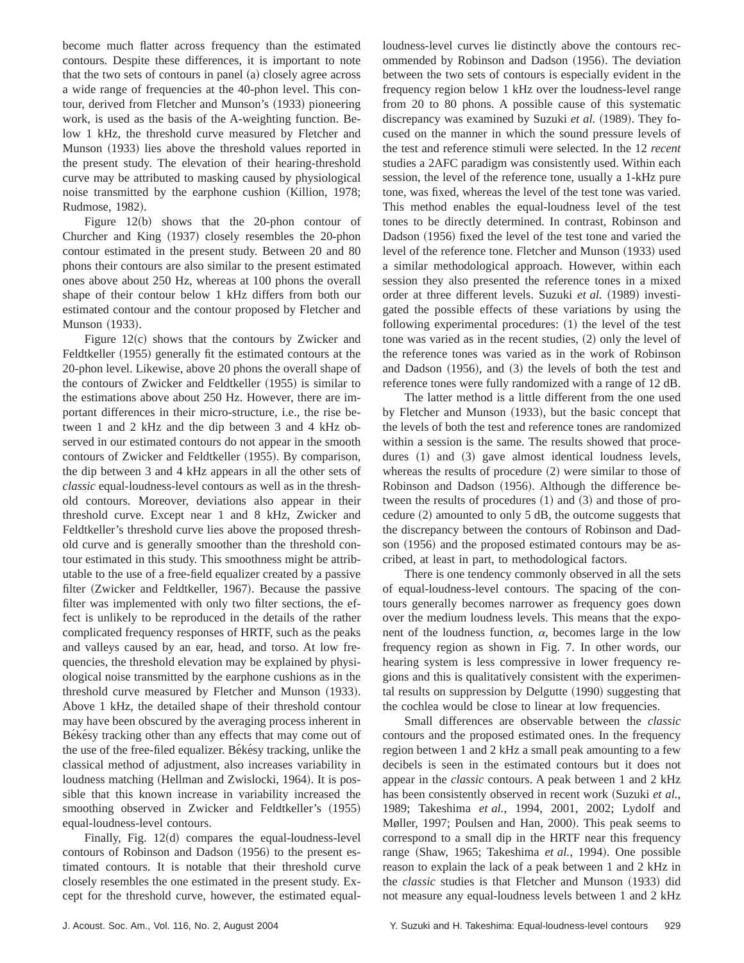become much flatter across frequency than the estimated contours. Despite these differences, it is important to note that the two sets of contours in panel  $(a)$  closely agree across a wide range of frequencies at the 40-phon level. This contour, derived from Fletcher and Munson's (1933) pioneering work, is used as the basis of the A-weighting function. Below 1 kHz, the threshold curve measured by Fletcher and Munson (1933) lies above the threshold values reported in the present study. The elevation of their hearing-threshold curve may be attributed to masking caused by physiological noise transmitted by the earphone cushion (Killion, 1978; Rudmose, 1982).

Figure  $12(b)$  shows that the 20-phon contour of Churcher and King (1937) closely resembles the 20-phon contour estimated in the present study. Between 20 and 80 phons their contours are also similar to the present estimated ones above about 250 Hz, whereas at 100 phons the overall shape of their contour below 1 kHz differs from both our estimated contour and the contour proposed by Fletcher and Munson (1933).

Figure  $12(c)$  shows that the contours by Zwicker and Feldtkeller (1955) generally fit the estimated contours at the 20-phon level. Likewise, above 20 phons the overall shape of the contours of Zwicker and Feldtkeller  $(1955)$  is similar to the estimations above about 250 Hz. However, there are important differences in their micro-structure, i.e., the rise between 1 and 2 kHz and the dip between 3 and 4 kHz observed in our estimated contours do not appear in the smooth contours of Zwicker and Feldtkeller (1955). By comparison, the dip between 3 and 4 kHz appears in all the other sets of *classic* equal-loudness-level contours as well as in the threshold contours. Moreover, deviations also appear in their threshold curve. Except near 1 and 8 kHz, Zwicker and Feldtkeller's threshold curve lies above the proposed threshold curve and is generally smoother than the threshold contour estimated in this study. This smoothness might be attributable to the use of a free-field equalizer created by a passive filter (Zwicker and Feldtkeller, 1967). Because the passive filter was implemented with only two filter sections, the effect is unlikely to be reproduced in the details of the rather complicated frequency responses of HRTF, such as the peaks and valleys caused by an ear, head, and torso. At low frequencies, the threshold elevation may be explained by physiological noise transmitted by the earphone cushions as in the threshold curve measured by Fletcher and Munson (1933). Above 1 kHz, the detailed shape of their threshold contour may have been obscured by the averaging process inherent in Békésy tracking other than any effects that may come out of the use of the free-filed equalizer. Békésy tracking, unlike the classical method of adjustment, also increases variability in loudness matching (Hellman and Zwislocki, 1964). It is possible that this known increase in variability increased the smoothing observed in Zwicker and Feldtkeller's (1955) equal-loudness-level contours.

Finally, Fig.  $12(d)$  compares the equal-loudness-level contours of Robinson and Dadson  $(1956)$  to the present estimated contours. It is notable that their threshold curve closely resembles the one estimated in the present study. Except for the threshold curve, however, the estimated equalloudness-level curves lie distinctly above the contours recommended by Robinson and Dadson (1956). The deviation between the two sets of contours is especially evident in the frequency region below 1 kHz over the loudness-level range from 20 to 80 phons. A possible cause of this systematic discrepancy was examined by Suzuki et al. (1989). They focused on the manner in which the sound pressure levels of the test and reference stimuli were selected. In the 12 *recent* studies a 2AFC paradigm was consistently used. Within each session, the level of the reference tone, usually a 1-kHz pure tone, was fixed, whereas the level of the test tone was varied. This method enables the equal-loudness level of the test tones to be directly determined. In contrast, Robinson and Dadson (1956) fixed the level of the test tone and varied the level of the reference tone. Fletcher and Munson (1933) used a similar methodological approach. However, within each session they also presented the reference tones in a mixed order at three different levels. Suzuki et al. (1989) investigated the possible effects of these variations by using the following experimental procedures:  $(1)$  the level of the test tone was varied as in the recent studies,  $(2)$  only the level of the reference tones was varied as in the work of Robinson and Dadson  $(1956)$ , and  $(3)$  the levels of both the test and reference tones were fully randomized with a range of 12 dB.

The latter method is a little different from the one used by Fletcher and Munson (1933), but the basic concept that the levels of both the test and reference tones are randomized within a session is the same. The results showed that procedures  $(1)$  and  $(3)$  gave almost identical loudness levels, whereas the results of procedure  $(2)$  were similar to those of Robinson and Dadson (1956). Although the difference between the results of procedures  $(1)$  and  $(3)$  and those of procedure  $(2)$  amounted to only 5 dB, the outcome suggests that the discrepancy between the contours of Robinson and Dadson  $(1956)$  and the proposed estimated contours may be ascribed, at least in part, to methodological factors.

There is one tendency commonly observed in all the sets of equal-loudness-level contours. The spacing of the contours generally becomes narrower as frequency goes down over the medium loudness levels. This means that the exponent of the loudness function,  $\alpha$ , becomes large in the low frequency region as shown in Fig. 7. In other words, our hearing system is less compressive in lower frequency regions and this is qualitatively consistent with the experimental results on suppression by Delgutte  $(1990)$  suggesting that the cochlea would be close to linear at low frequencies.

Small differences are observable between the *classic* contours and the proposed estimated ones. In the frequency region between 1 and 2 kHz a small peak amounting to a few decibels is seen in the estimated contours but it does not appear in the *classic* contours. A peak between 1 and 2 kHz has been consistently observed in recent work (Suzuki et al., 1989; Takeshima *et al.*, 1994, 2001, 2002; Lydolf and Møller, 1997; Poulsen and Han, 2000). This peak seems to correspond to a small dip in the HRTF near this frequency range (Shaw, 1965; Takeshima *et al.*, 1994). One possible reason to explain the lack of a peak between 1 and 2 kHz in the *classic* studies is that Fletcher and Munson (1933) did not measure any equal-loudness levels between 1 and 2 kHz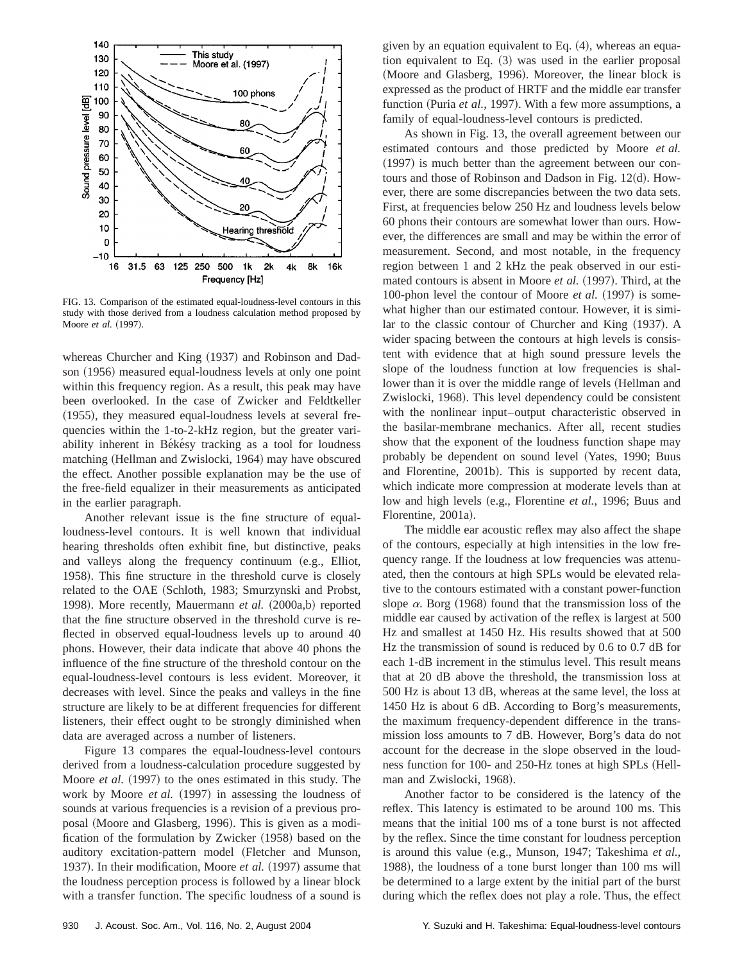

FIG. 13. Comparison of the estimated equal-loudness-level contours in this study with those derived from a loudness calculation method proposed by Moore *et al.* (1997).

whereas Churcher and King (1937) and Robinson and Dadson (1956) measured equal-loudness levels at only one point within this frequency region. As a result, this peak may have been overlooked. In the case of Zwicker and Feldtkeller  $(1955)$ , they measured equal-loudness levels at several frequencies within the 1-to-2-kHz region, but the greater variability inherent in Békésy tracking as a tool for loudness matching (Hellman and Zwislocki, 1964) may have obscured the effect. Another possible explanation may be the use of the free-field equalizer in their measurements as anticipated in the earlier paragraph.

Another relevant issue is the fine structure of equalloudness-level contours. It is well known that individual hearing thresholds often exhibit fine, but distinctive, peaks and valleys along the frequency continuum  $(e.g.,$  Elliot, 1958). This fine structure in the threshold curve is closely related to the OAE (Schloth, 1983; Smurzynski and Probst, 1998). More recently, Mauermann *et al.* (2000a,b) reported that the fine structure observed in the threshold curve is reflected in observed equal-loudness levels up to around 40 phons. However, their data indicate that above 40 phons the influence of the fine structure of the threshold contour on the equal-loudness-level contours is less evident. Moreover, it decreases with level. Since the peaks and valleys in the fine structure are likely to be at different frequencies for different listeners, their effect ought to be strongly diminished when data are averaged across a number of listeners.

Figure 13 compares the equal-loudness-level contours derived from a loudness-calculation procedure suggested by Moore *et al.* (1997) to the ones estimated in this study. The work by Moore *et al.* (1997) in assessing the loudness of sounds at various frequencies is a revision of a previous proposal (Moore and Glasberg, 1996). This is given as a modification of the formulation by Zwicker (1958) based on the auditory excitation-pattern model (Fletcher and Munson, 1937). In their modification, Moore et al. (1997) assume that the loudness perception process is followed by a linear block with a transfer function. The specific loudness of a sound is given by an equation equivalent to Eq.  $(4)$ , whereas an equation equivalent to Eq.  $(3)$  was used in the earlier proposal (Moore and Glasberg, 1996). Moreover, the linear block is expressed as the product of HRTF and the middle ear transfer function (Puria *et al.*, 1997). With a few more assumptions, a family of equal-loudness-level contours is predicted.

As shown in Fig. 13, the overall agreement between our estimated contours and those predicted by Moore *et al.*  $(1997)$  is much better than the agreement between our contours and those of Robinson and Dadson in Fig.  $12(d)$ . However, there are some discrepancies between the two data sets. First, at frequencies below 250 Hz and loudness levels below 60 phons their contours are somewhat lower than ours. However, the differences are small and may be within the error of measurement. Second, and most notable, in the frequency region between 1 and 2 kHz the peak observed in our estimated contours is absent in Moore *et al.* (1997). Third, at the 100-phon level the contour of Moore *et al.* (1997) is somewhat higher than our estimated contour. However, it is similar to the classic contour of Churcher and King  $(1937)$ . A wider spacing between the contours at high levels is consistent with evidence that at high sound pressure levels the slope of the loudness function at low frequencies is shallower than it is over the middle range of levels (Hellman and Zwislocki, 1968). This level dependency could be consistent with the nonlinear input–output characteristic observed in the basilar-membrane mechanics. After all, recent studies show that the exponent of the loudness function shape may probably be dependent on sound level (Yates, 1990; Buus and Florentine, 2001b). This is supported by recent data, which indicate more compression at moderate levels than at low and high levels (e.g., Florentine *et al.*, 1996; Buus and Florentine, 2001a).

The middle ear acoustic reflex may also affect the shape of the contours, especially at high intensities in the low frequency range. If the loudness at low frequencies was attenuated, then the contours at high SPLs would be elevated relative to the contours estimated with a constant power-function slope  $\alpha$ . Borg (1968) found that the transmission loss of the middle ear caused by activation of the reflex is largest at 500 Hz and smallest at 1450 Hz. His results showed that at 500 Hz the transmission of sound is reduced by 0.6 to 0.7 dB for each 1-dB increment in the stimulus level. This result means that at 20 dB above the threshold, the transmission loss at 500 Hz is about 13 dB, whereas at the same level, the loss at 1450 Hz is about 6 dB. According to Borg's measurements, the maximum frequency-dependent difference in the transmission loss amounts to 7 dB. However, Borg's data do not account for the decrease in the slope observed in the loudness function for 100- and 250-Hz tones at high SPLs (Hellman and Zwislocki, 1968).

Another factor to be considered is the latency of the reflex. This latency is estimated to be around 100 ms. This means that the initial 100 ms of a tone burst is not affected by the reflex. Since the time constant for loudness perception is around this value (e.g., Munson, 1947; Takeshima *et al.*, 1988), the loudness of a tone burst longer than 100 ms will be determined to a large extent by the initial part of the burst during which the reflex does not play a role. Thus, the effect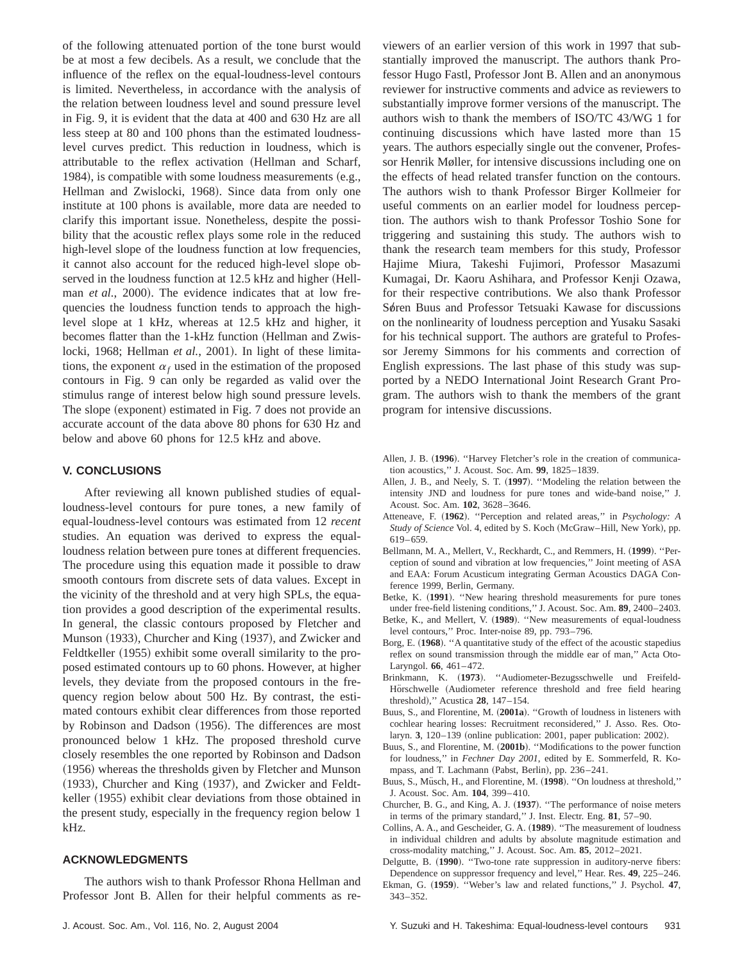of the following attenuated portion of the tone burst would be at most a few decibels. As a result, we conclude that the influence of the reflex on the equal-loudness-level contours is limited. Nevertheless, in accordance with the analysis of the relation between loudness level and sound pressure level in Fig. 9, it is evident that the data at 400 and 630 Hz are all less steep at 80 and 100 phons than the estimated loudnesslevel curves predict. This reduction in loudness, which is attributable to the reflex activation (Hellman and Scharf, 1984), is compatible with some loudness measurements  $(e.g.,)$ Hellman and Zwislocki, 1968). Since data from only one institute at 100 phons is available, more data are needed to clarify this important issue. Nonetheless, despite the possibility that the acoustic reflex plays some role in the reduced high-level slope of the loudness function at low frequencies, it cannot also account for the reduced high-level slope observed in the loudness function at 12.5 kHz and higher (Hellman *et al.*, 2000). The evidence indicates that at low frequencies the loudness function tends to approach the highlevel slope at 1 kHz, whereas at 12.5 kHz and higher, it becomes flatter than the 1-kHz function (Hellman and Zwislocki, 1968; Hellman *et al.*, 2001). In light of these limitations, the exponent  $\alpha_f$  used in the estimation of the proposed contours in Fig. 9 can only be regarded as valid over the stimulus range of interest below high sound pressure levels. The slope (exponent) estimated in Fig. 7 does not provide an accurate account of the data above 80 phons for 630 Hz and below and above 60 phons for 12.5 kHz and above.

#### **V. CONCLUSIONS**

After reviewing all known published studies of equalloudness-level contours for pure tones, a new family of equal-loudness-level contours was estimated from 12 *recent* studies. An equation was derived to express the equalloudness relation between pure tones at different frequencies. The procedure using this equation made it possible to draw smooth contours from discrete sets of data values. Except in the vicinity of the threshold and at very high SPLs, the equation provides a good description of the experimental results. In general, the classic contours proposed by Fletcher and Munson (1933), Churcher and King (1937), and Zwicker and Feldtkeller (1955) exhibit some overall similarity to the proposed estimated contours up to 60 phons. However, at higher levels, they deviate from the proposed contours in the frequency region below about 500 Hz. By contrast, the estimated contours exhibit clear differences from those reported by Robinson and Dadson (1956). The differences are most pronounced below 1 kHz. The proposed threshold curve closely resembles the one reported by Robinson and Dadson (1956) whereas the thresholds given by Fletcher and Munson  $(1933)$ , Churcher and King  $(1937)$ , and Zwicker and Feldtkeller (1955) exhibit clear deviations from those obtained in the present study, especially in the frequency region below 1 kHz.

#### **ACKNOWLEDGMENTS**

The authors wish to thank Professor Rhona Hellman and Professor Jont B. Allen for their helpful comments as reviewers of an earlier version of this work in 1997 that substantially improved the manuscript. The authors thank Professor Hugo Fastl, Professor Jont B. Allen and an anonymous reviewer for instructive comments and advice as reviewers to substantially improve former versions of the manuscript. The authors wish to thank the members of ISO/TC 43/WG 1 for continuing discussions which have lasted more than 15 years. The authors especially single out the convener, Professor Henrik Møller, for intensive discussions including one on the effects of head related transfer function on the contours. The authors wish to thank Professor Birger Kollmeier for useful comments on an earlier model for loudness perception. The authors wish to thank Professor Toshio Sone for triggering and sustaining this study. The authors wish to thank the research team members for this study, Professor Hajime Miura, Takeshi Fujimori, Professor Masazumi Kumagai, Dr. Kaoru Ashihara, and Professor Kenji Ozawa, for their respective contributions. We also thank Professor Søren Buus and Professor Tetsuaki Kawase for discussions on the nonlinearity of loudness perception and Yusaku Sasaki for his technical support. The authors are grateful to Professor Jeremy Simmons for his comments and correction of English expressions. The last phase of this study was supported by a NEDO International Joint Research Grant Program. The authors wish to thank the members of the grant program for intensive discussions.

- Allen, J. B. (1996). "Harvey Fletcher's role in the creation of communication acoustics,'' J. Acoust. Soc. Am. **99**, 1825–1839.
- Allen, J. B., and Neely, S. T. (1997). "Modeling the relation between the intensity JND and loudness for pure tones and wide-band noise,'' J. Acoust. Soc. Am. **102**, 3628–3646.
- Atteneave, F. (1962). "Perception and related areas," in *Psychology: A Study of Science* Vol. 4, edited by S. Koch (McGraw–Hill, New York), pp. 619–659.
- Bellmann, M. A., Mellert, V., Reckhardt, C., and Remmers, H. ~**1999**!. ''Perception of sound and vibration at low frequencies,'' Joint meeting of ASA and EAA: Forum Acusticum integrating German Acoustics DAGA Conference 1999, Berlin, Germany.
- Betke, K. (1991). "New hearing threshold measurements for pure tones under free-field listening conditions,'' J. Acoust. Soc. Am. **89**, 2400–2403.
- Betke, K., and Mellert, V. (1989). "New measurements of equal-loudness level contours,'' Proc. Inter-noise 89, pp. 793–796.
- Borg, E. (1968). "A quantitative study of the effect of the acoustic stapedius reflex on sound transmission through the middle ear of man,'' Acta Oto-Laryngol. **66**, 461–472.
- Brinkmann, K. ~**1973**!. ''Audiometer-Bezugsschwelle und Freifeld-Hörschwelle (Audiometer reference threshold and free field hearing threshold!,'' Acustica **28**, 147–154.
- Buus, S., and Florentine, M. (2001a). "Growth of loudness in listeners with cochlear hearing losses: Recruitment reconsidered,'' J. Asso. Res. Otolaryn. **3**, 120-139 (online publication: 2001, paper publication: 2002).
- Buus, S., and Florentine, M. (2001b). "Modifications to the power function for loudness,'' in *Fechner Day 2001*, edited by E. Sommerfeld, R. Kompass, and T. Lachmann (Pabst, Berlin), pp. 236–241.
- Buus, S., Müsch, H., and Florentine, M. (1998). "On loudness at threshold," J. Acoust. Soc. Am. **104**, 399–410.
- Churcher, B. G., and King, A. J. (1937). "The performance of noise meters in terms of the primary standard,'' J. Inst. Electr. Eng. **81**, 57–90.
- Collins, A. A., and Gescheider, G. A. ~**1989**!. ''The measurement of loudness in individual children and adults by absolute magnitude estimation and cross-modality matching,'' J. Acoust. Soc. Am. **85**, 2012–2021.

Delgutte, B. (1990). "Two-tone rate suppression in auditory-nerve fibers: Dependence on suppressor frequency and level,'' Hear. Res. **49**, 225–246.

Ekman, G. (1959). "Weber's law and related functions," J. Psychol. 47, 343–352.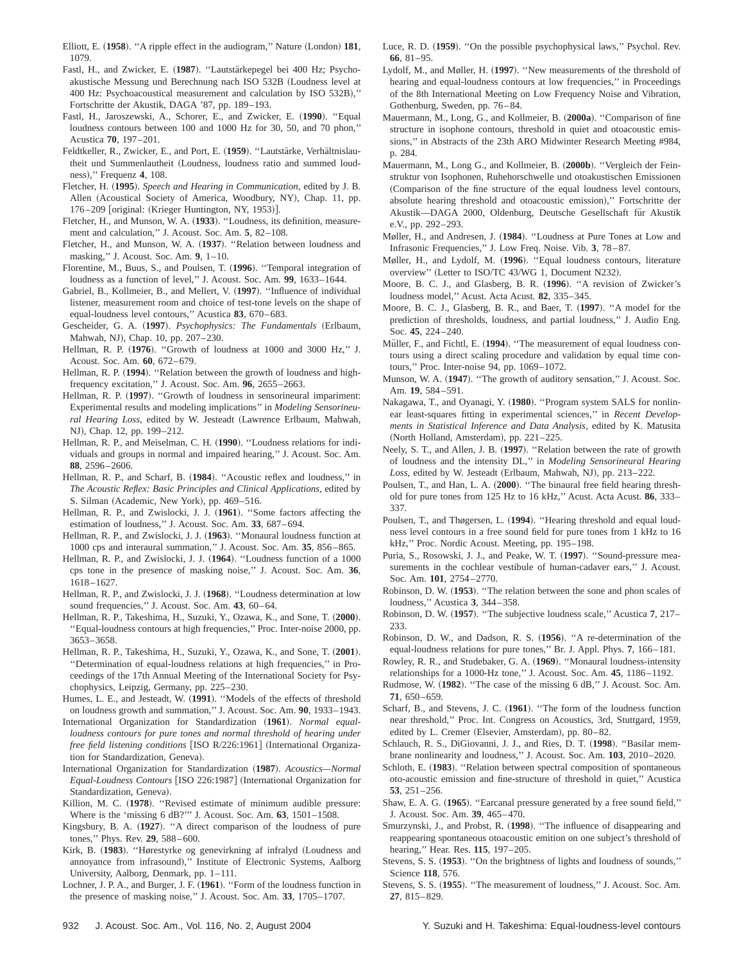- Elliott, E. (1958). "A ripple effect in the audiogram," Nature (London) 181, 1079.
- Fastl, H., and Zwicker, E. (1987). "Lautstärkepegel bei 400 Hz; Psychoakustische Messung und Berechnung nach ISO 532B (Loudness level at 400 Hz: Psychoacoustical measurement and calculation by ISO 532B)," Fortschritte der Akustik, DAGA '87, pp. 189–193.
- Fastl, H., Jaroszewski, A., Schorer, E., and Zwicker, E. (1990). "Equal loudness contours between 100 and 1000 Hz for 30, 50, and 70 phon,'' Acustica **70**, 197–201.
- Feldtkeller, R., Zwicker, E., and Port, E. (1959). "Lautstärke, Verhältnislautheit und Summenlautheit (Loudness, loudness ratio and summed loudness!,'' Frequenz **4**, 108.
- Fletcher, H. ~**1995**!. *Speech and Hearing in Communication*, edited by J. B. Allen (Acoustical Society of America, Woodbury, NY), Chap. 11, pp.  $176-209$  [original: (Krieger Huntington, NY, 1953)].
- Fletcher, H., and Munson, W. A. (1933). "Loudness, its definition, measurement and calculation,'' J. Acoust. Soc. Am. **5**, 82–108.
- Fletcher, H., and Munson, W. A. (1937). "Relation between loudness and masking,'' J. Acoust. Soc. Am. **9**, 1–10.
- Florentine, M., Buus, S., and Poulsen, T. (1996). "Temporal integration of loudness as a function of level,'' J. Acoust. Soc. Am. **99**, 1633–1644.
- Gabriel, B., Kollmeier, B., and Mellert, V. (1997). "Influence of individual listener, measurement room and choice of test-tone levels on the shape of equal-loudness level contours,'' Acustica **83**, 670–683.
- Gescheider, G. A. (1997). *Psychophysics: The Fundamentals* (Erlbaum, Mahwah, NJ), Chap. 10, pp. 207-230.
- Hellman, R. P. (1976). "Growth of loudness at 1000 and 3000 Hz," J. Acoust. Soc. Am. **60**, 672–679.
- Hellman, R. P. (1994). "Relation between the growth of loudness and highfrequency excitation,'' J. Acoust. Soc. Am. **96**, 2655–2663.
- Hellman, R. P. (1997). "Growth of loudness in sensorineural impariment: Experimental results and modeling implications'' in *Modeling Sensorineu*ral Hearing Loss, edited by W. Jesteadt (Lawrence Erlbaum, Mahwah, NJ), Chap. 12, pp. 199-212.
- Hellman, R. P., and Meiselman, C. H. (1990). "Loudness relations for individuals and groups in normal and impaired hearing,'' J. Acoust. Soc. Am. **88**, 2596–2606.
- Hellman, R. P., and Scharf, B. (1984). "Acoustic reflex and loudness," in *The Acoustic Reflex: Basic Principles and Clinical Applications*, edited by S. Silman (Academic, New York), pp. 469–516.
- Hellman, R. P., and Zwislocki, J. J. (1961). "Some factors affecting the estimation of loudness,'' J. Acoust. Soc. Am. **33**, 687–694.
- Hellman, R. P., and Zwislocki, J. J.  $(1963)$ . "Monaural loudness function at 1000 cps and interaural summation,'' J. Acoust. Soc. Am. **35**, 856–865.
- Hellman, R. P., and Zwislocki, J. J. (1964). "Loudness function of a 1000 cps tone in the presence of masking noise,'' J. Acoust. Soc. Am. **36**, 1618–1627.
- Hellman, R. P., and Zwislocki, J. J. (1968). "Loudness determination at low sound frequencies,'' J. Acoust. Soc. Am. **43**, 60–64.
- Hellman, R. P., Takeshima, H., Suzuki, Y., Ozawa, K., and Sone, T. (2000). ''Equal-loudness contours at high frequencies,'' Proc. Inter-noise 2000, pp. 3653–3658.
- Hellman, R. P., Takeshima, H., Suzuki, Y., Ozawa, K., and Sone, T. (2001). ''Determination of equal-loudness relations at high frequencies,'' in Proceedings of the 17th Annual Meeting of the International Society for Psychophysics, Leipzig, Germany, pp. 225–230.
- Humes, L. E., and Jesteadt, W. (1991). "Models of the effects of threshold on loudness growth and summation,'' J. Acoust. Soc. Am. **90**, 1933–1943.
- International Organization for Standardization ~**1961**!. *Normal equalloudness contours for pure tones and normal threshold of hearing under free field listening conditions* [ISO R/226:1961] (International Organization for Standardization, Geneva).
- International Organization for Standardization ~**1987**!. *Acoustics—Normal Equal-Loudness Contours* [ISO 226:1987] (International Organization for Standardization, Geneva).
- Killion, M. C. (1978). "Revised estimate of minimum audible pressure: Where is the 'missing 6 dB?''' J. Acoust. Soc. Am. **63**, 1501–1508.
- Kingsbury, B. A. (1927). "A direct comparison of the loudness of pure tones,'' Phys. Rev. **29**, 588–600.
- Kirk, B. (1983). "Hørestyrke og genevirkning af infralyd (Loudness and annoyance from infrasound)," Institute of Electronic Systems, Aalborg University, Aalborg, Denmark, pp. 1–111.
- Lochner, J. P. A., and Burger, J. F. (1961). "Form of the loudness function in the presence of masking noise,'' J. Acoust. Soc. Am. **33**, 1705–1707.
- Luce, R. D. (1959). "On the possible psychophysical laws," Psychol. Rev. **66**, 81–95.
- Lydolf, M., and Møller, H. (1997). "New measurements of the threshold of hearing and equal-loudness contours at low frequencies,'' in Proceedings of the 8th International Meeting on Low Frequency Noise and Vibration, Gothenburg, Sweden, pp. 76–84.
- Mauermann, M., Long, G., and Kollmeier, B. (2000a). "Comparison of fine structure in isophone contours, threshold in quiet and otoacoustic emissions,'' in Abstracts of the 23th ARO Midwinter Research Meeting #984, p. 284.
- Mauermann, M., Long G., and Kollmeier, B. (2000b). "Vergleich der Feinstruktur von Isophonen, Ruhehorschwelle und otoakustischen Emissionen ~Comparison of the fine structure of the equal loudness level contours, absolute hearing threshold and otoacoustic emission)," Fortschritte der Akustik-DAGA 2000, Oldenburg, Deutsche Gesellschaft für Akustik e.V., pp. 292–293.
- Møller, H., and Andresen, J. (1984). "Loudness at Pure Tones at Low and Infrasonic Frequencies,'' J. Low Freq. Noise. Vib. **3**, 78–87.
- Møller, H., and Lydolf, M. (1996). "Equal loudness contours, literature overview" (Letter to ISO/TC 43/WG 1, Document N232).
- Moore, B. C. J., and Glasberg, B. R.  $(1996)$ . "A revision of Zwicker's loudness model,'' Acust. Acta Acust. **82**, 335–345.
- Moore, B. C. J., Glasberg, B. R., and Baer, T. (1997). "A model for the prediction of thresholds, loudness, and partial loudness,'' J. Audio Eng. Soc. **45**, 224–240.
- Müller, F., and Fichtl, E. (1994). "The measurement of equal loudness contours using a direct scaling procedure and validation by equal time contours,'' Proc. Inter-noise 94, pp. 1069–1072.
- Munson, W. A. (1947). "The growth of auditory sensation," J. Acoust. Soc. Am. **19**, 584–591.
- Nakagawa, T., and Oyanagi, Y. (1980). "Program system SALS for nonlinear least-squares fitting in experimental sciences,'' in *Recent Developments in Statistical Inference and Data Analysis*, edited by K. Matusita (North Holland, Amsterdam), pp. 221-225.
- Neely, S. T., and Allen, J. B. (1997). "Relation between the rate of growth of loudness and the intensity DL,'' in *Modeling Sensorineural Hearing* Loss, edited by W. Jesteadt (Erlbaum, Mahwah, NJ), pp. 213-222.
- Poulsen, T., and Han, L. A.  $(2000)$ . "The binaural free field hearing threshold for pure tones from 125 Hz to 16 kHz,'' Acust. Acta Acust. **86**, 333– 337.
- Poulsen, T., and Thøgersen, L. (1994). "Hearing threshold and equal loudness level contours in a free sound field for pure tones from 1 kHz to 16 kHz,'' Proc. Nordic Acoust. Meeting, pp. 195–198.
- Puria, S., Rosowski, J. J., and Peake, W. T. (1997). "Sound-pressure measurements in the cochlear vestibule of human-cadaver ears,'' J. Acoust. Soc. Am. **101**, 2754–2770.
- Robinson, D. W. (1953). "The relation between the sone and phon scales of loudness,'' Acustica **3**, 344–358.
- Robinson, D. W. (1957). "The subjective loudness scale," Acustica 7, 217– 233.
- Robinson, D. W., and Dadson, R. S. (1956). "A re-determination of the equal-loudness relations for pure tones,'' Br. J. Appl. Phys. **7**, 166–181.
- Rowley, R. R., and Studebaker, G. A. (1969). "Monaural loudness-intensity relationships for a 1000-Hz tone,'' J. Acoust. Soc. Am. **45**, 1186–1192.
- Rudmose, W. (1982). "The case of the missing 6 dB," J. Acoust. Soc. Am. **71**, 650–659.
- Scharf, B., and Stevens, J. C. (1961). "The form of the loudness function near threshold,'' Proc. Int. Congress on Acoustics, 3rd, Stuttgard, 1959, edited by L. Cremer (Elsevier, Amsterdam), pp. 80–82.
- Schlauch, R. S., DiGiovanni, J. J., and Ries, D. T. (1998). "Basilar membrane nonlinearity and loudness,'' J. Acoust. Soc. Am. **103**, 2010–2020.
- Schloth, E. (1983). "Relation between spectral composition of spontaneous oto-acoustic emission and fine-structure of threshold in quiet,'' Acustica **53**, 251–256.
- Shaw, E. A. G. (1965). "Earcanal pressure generated by a free sound field," J. Acoust. Soc. Am. **39**, 465–470.
- Smurzynski, J., and Probst, R.  $(1998)$ . "The influence of disappearing and reappearing spontaneous otoacoustic emition on one subject's threshold of hearing,'' Hear. Res. **115**, 197–205.
- Stevens, S. S.  $(1953)$ . "On the brightness of lights and loudness of sounds," Science **118**, 576.
- Stevens, S. S.  $(1955)$ . "The measurement of loudness," J. Acoust. Soc. Am. **27**, 815–829.